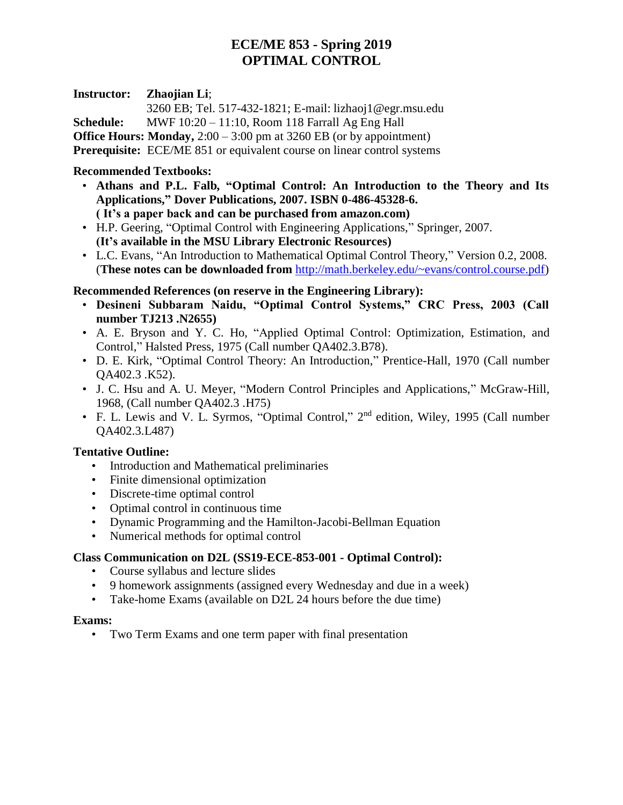# **ECE/ME 853 - Spring 2019 OPTIMAL CONTROL**

### **Instructor: Zhaojian Li**;

3260 EB; Tel. 517-432-1821; E-mail: lizhaoj1@egr.msu.edu **Schedule:** MWF 10:20 – 11:10, Room 118 Farrall Ag Eng Hall

**Office Hours: Monday,** 2:00 – 3:00 pm at 3260 EB (or by appointment)

**Prerequisite:** ECE/ME 851 or equivalent course on linear control systems

## **Recommended Textbooks:**

- **Athans and P.L. Falb, "Optimal Control: An Introduction to the Theory and Its Applications," Dover Publications, 2007. ISBN 0-486-45328-6. ( It's a paper back and can be purchased from amazon.com)**
- H.P. Geering, "Optimal Control with Engineering Applications," Springer, 2007. **(It's available in the MSU Library Electronic Resources)**
- L.C. Evans, "An Introduction to Mathematical Optimal Control Theory," Version 0.2, 2008. (**These notes can be downloaded from** [http://math.berkeley.edu/~evans/control.course.pdf\)](http://math.berkeley.edu/~evans/control.course.pdf)

## **Recommended References (on reserve in the Engineering Library):**

- **Desineni Subbaram Naidu, "Optimal Control Systems," CRC Press, 2003 (Call number TJ213 .N2655)**
- A. E. Bryson and Y. C. Ho, "Applied Optimal Control: Optimization, Estimation, and Control," Halsted Press, 1975 (Call number QA402.3.B78).
- D. E. Kirk, "Optimal Control Theory: An Introduction," Prentice-Hall, 1970 (Call number QA402.3 .K52).
- J. C. Hsu and A. U. Meyer, "Modern Control Principles and Applications," McGraw-Hill, 1968, (Call number QA402.3 .H75)
- F. L. Lewis and V. L. Syrmos, "Optimal Control," 2<sup>nd</sup> edition, Wiley, 1995 (Call number QA402.3.L487)

#### **Tentative Outline:**

- Introduction and Mathematical preliminaries
- Finite dimensional optimization
- Discrete-time optimal control
- Optimal control in continuous time
- Dynamic Programming and the Hamilton-Jacobi-Bellman Equation
- Numerical methods for optimal control

## **Class Communication on D2L [\(SS19-ECE-853-001 -](https://d2l.msu.edu/d2l/home/660317) Optimal Control):**

- Course syllabus and lecture slides
- 9 homework assignments (assigned every Wednesday and due in a week)
- Take-home Exams (available on D2L 24 hours before the due time)

#### **Exams:**

• Two Term Exams and one term paper with final presentation